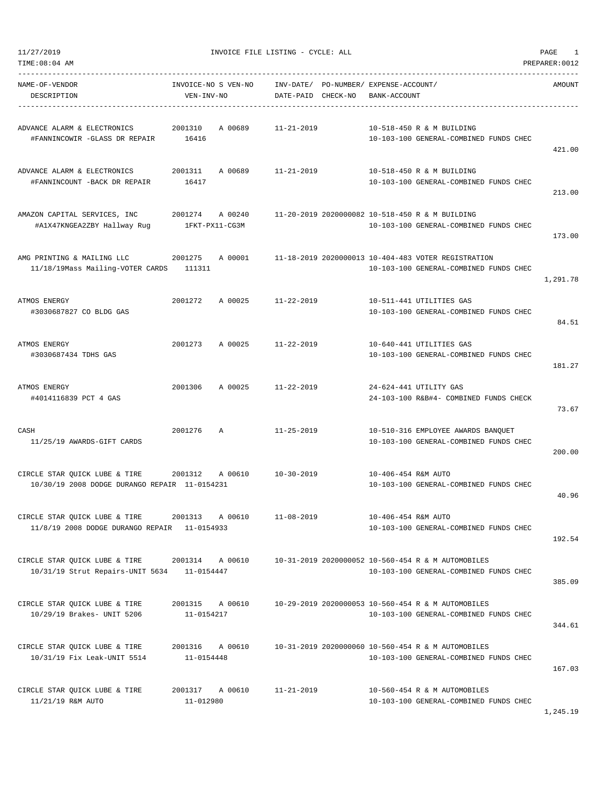| TIME: 08:04 AM                                                                               |                                      |                    |                                                                                               | PREPARER: 0012 |
|----------------------------------------------------------------------------------------------|--------------------------------------|--------------------|-----------------------------------------------------------------------------------------------|----------------|
| NAME-OF-VENDOR<br>DESCRIPTION                                                                | INVOICE-NO S VEN-NO<br>VEN-INV-NO    | DATE-PAID CHECK-NO | INV-DATE/ PO-NUMBER/ EXPENSE-ACCOUNT/<br>BANK-ACCOUNT                                         | AMOUNT         |
| ADVANCE ALARM & ELECTRONICS<br>#FANNINCOWIR -GLASS DR REPAIR                                 | 2001310<br>A 00689<br>16416          | $11 - 21 - 2019$   | 10-518-450 R & M BUILDING<br>10-103-100 GENERAL-COMBINED FUNDS CHEC                           | 421.00         |
| ADVANCE ALARM & ELECTRONICS<br>#FANNINCOUNT -BACK DR REPAIR                                  | 2001311<br>A 00689<br>16417          | $11 - 21 - 2019$   | 10-518-450 R & M BUILDING<br>10-103-100 GENERAL-COMBINED FUNDS CHEC                           | 213.00         |
| AMAZON CAPITAL SERVICES, INC<br>#A1X47KNGEA2ZBY Hallway Rug                                  | 2001274<br>A 00240<br>1FKT-PX11-CG3M |                    | 11-20-2019 2020000082 10-518-450 R & M BUILDING<br>10-103-100 GENERAL-COMBINED FUNDS CHEC     | 173.00         |
| AMG PRINTING & MAILING LLC<br>11/18/19Mass Mailing-VOTER CARDS                               | 2001275<br>A 00001<br>111311         |                    | 11-18-2019 2020000013 10-404-483 VOTER REGISTRATION<br>10-103-100 GENERAL-COMBINED FUNDS CHEC | 1,291.78       |
| ATMOS ENERGY<br>#3030687827 CO BLDG GAS                                                      | 2001272<br>A 00025                   | $11 - 22 - 2019$   | 10-511-441 UTILITIES GAS<br>10-103-100 GENERAL-COMBINED FUNDS CHEC                            | 84.51          |
| ATMOS ENERGY<br>#3030687434 TDHS GAS                                                         | 2001273<br>A 00025                   | $11 - 22 - 2019$   | 10-640-441 UTILITIES GAS<br>10-103-100 GENERAL-COMBINED FUNDS CHEC                            | 181.27         |
| ATMOS ENERGY<br>#4014116839 PCT 4 GAS                                                        | 2001306<br>A 00025                   | $11 - 22 - 2019$   | 24-624-441 UTILITY GAS<br>24-103-100 R&B#4- COMBINED FUNDS CHECK                              | 73.67          |
| CASH<br>11/25/19 AWARDS-GIFT CARDS                                                           | 2001276<br>Α                         | $11 - 25 - 2019$   | 10-510-316 EMPLOYEE AWARDS BANQUET<br>10-103-100 GENERAL-COMBINED FUNDS CHEC                  | 200.00         |
| CIRCLE STAR QUICK LUBE & TIRE<br>10/30/19 2008 DODGE DURANGO REPAIR 11-0154231               | 2001312<br>A 00610                   | $10 - 30 - 2019$   | 10-406-454 R&M AUTO<br>10-103-100 GENERAL-COMBINED FUNDS CHEC                                 | 40.96          |
| CIRCLE STAR QUICK LUBE & TIRE<br>11/8/19 2008 DODGE DURANGO REPAIR 11-0154933                | 2001313<br>A 00610                   | $11 - 08 - 2019$   | 10-406-454 R&M AUTO<br>10-103-100 GENERAL-COMBINED FUNDS CHEC                                 | 192.54         |
| CIRCLE STAR QUICK LUBE & TIRE 2001314 A 00610<br>10/31/19 Strut Repairs-UNIT 5634 11-0154447 |                                      |                    | 10-31-2019 2020000052 10-560-454 R & M AUTOMOBILES<br>10-103-100 GENERAL-COMBINED FUNDS CHEC  | 385.09         |
| CIRCLE STAR QUICK LUBE & TIRE<br>10/29/19 Brakes- UNIT 5206                                  | A 00610<br>2001315<br>11-0154217     |                    | 10-29-2019 2020000053 10-560-454 R & M AUTOMOBILES<br>10-103-100 GENERAL-COMBINED FUNDS CHEC  | 344.61         |
| CIRCLE STAR QUICK LUBE & TIRE<br>10/31/19 Fix Leak-UNIT 5514                                 | 2001316 A 00610<br>11-0154448        |                    | 10-31-2019 2020000060 10-560-454 R & M AUTOMOBILES<br>10-103-100 GENERAL-COMBINED FUNDS CHEC  | 167.03         |
| CIRCLE STAR QUICK LUBE & TIRE<br>11/21/19 R&M AUTO                                           | 2001317 A 00610<br>11-012980         | $11 - 21 - 2019$   | 10-560-454 R & M AUTOMOBILES<br>10-103-100 GENERAL-COMBINED FUNDS CHEC                        | 1,245.19       |

11/27/2019 INVOICE FILE LISTING - CYCLE: ALL PAGE 1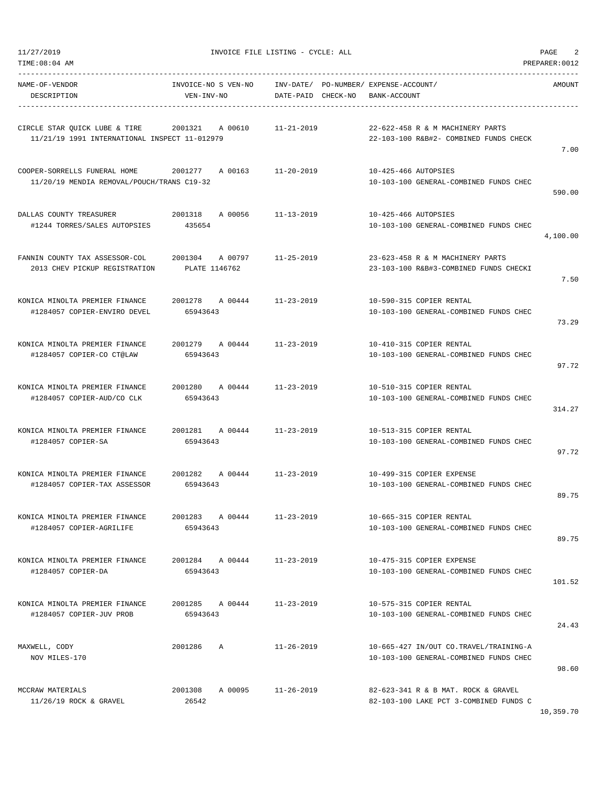11/27/2019 INVOICE FILE LISTING - CYCLE: ALL PAGE 2

| TIME: 08:04 AM<br>PREPARER: 0012                                               |                                     |                                    |                                                                                  |           |  |  |
|--------------------------------------------------------------------------------|-------------------------------------|------------------------------------|----------------------------------------------------------------------------------|-----------|--|--|
| NAME-OF-VENDOR<br>DESCRIPTION                                                  | INVOICE-NO S VEN-NO<br>VEN-INV-NO   | INV-DATE/<br>DATE-PAID<br>CHECK-NO | PO-NUMBER/ EXPENSE-ACCOUNT/<br>BANK-ACCOUNT                                      | AMOUNT    |  |  |
| CIRCLE STAR QUICK LUBE & TIRE<br>11/21/19 1991 INTERNATIONAL INSPECT 11-012979 | 2001321<br>A 00610                  | $11 - 21 - 2019$                   | 22-622-458 R & M MACHINERY PARTS<br>22-103-100 R&B#2- COMBINED FUNDS CHECK       | 7.00      |  |  |
| COOPER-SORRELLS FUNERAL HOME<br>11/20/19 MENDIA REMOVAL/POUCH/TRANS C19-32     | 2001277<br>A 00163                  | $11 - 20 - 2019$                   | 10-425-466 AUTOPSIES<br>10-103-100 GENERAL-COMBINED FUNDS CHEC                   | 590.00    |  |  |
| DALLAS COUNTY TREASURER<br>#1244 TORRES/SALES AUTOPSIES                        | 2001318<br>A 00056<br>435654        | $11 - 13 - 2019$                   | 10-425-466 AUTOPSIES<br>10-103-100 GENERAL-COMBINED FUNDS CHEC                   | 4,100.00  |  |  |
| FANNIN COUNTY TAX ASSESSOR-COL<br>2013 CHEV PICKUP REGISTRATION                | 2001304<br>A 00797<br>PLATE 1146762 | $11 - 25 - 2019$                   | 23-623-458 R & M MACHINERY PARTS<br>23-103-100 R&B#3-COMBINED FUNDS CHECKI       | 7.50      |  |  |
| KONICA MINOLTA PREMIER FINANCE<br>#1284057 COPIER-ENVIRO DEVEL                 | 2001278<br>A 00444<br>65943643      | $11 - 23 - 2019$                   | 10-590-315 COPIER RENTAL<br>10-103-100 GENERAL-COMBINED FUNDS CHEC               | 73.29     |  |  |
| KONICA MINOLTA PREMIER FINANCE<br>#1284057 COPIER-CO CT@LAW                    | 2001279<br>A 00444<br>65943643      | $11 - 23 - 2019$                   | 10-410-315 COPIER RENTAL<br>10-103-100 GENERAL-COMBINED FUNDS CHEC               | 97.72     |  |  |
| KONICA MINOLTA PREMIER FINANCE<br>#1284057 COPIER-AUD/CO CLK                   | 2001280<br>A 00444<br>65943643      | $11 - 23 - 2019$                   | 10-510-315 COPIER RENTAL<br>10-103-100 GENERAL-COMBINED FUNDS CHEC               | 314.27    |  |  |
| KONICA MINOLTA PREMIER FINANCE<br>#1284057 COPIER-SA                           | 2001281<br>A 00444<br>65943643      | $11 - 23 - 2019$                   | 10-513-315 COPIER RENTAL<br>10-103-100 GENERAL-COMBINED FUNDS CHEC               | 97.72     |  |  |
| KONICA MINOLTA PREMIER FINANCE<br>#1284057 COPIER-TAX ASSESSOR                 | 2001282<br>A 00444<br>65943643      | $11 - 23 - 2019$                   | 10-499-315 COPIER EXPENSE<br>10-103-100 GENERAL-COMBINED FUNDS CHEC              | 89.75     |  |  |
| KONICA MINOLTA PREMIER FINANCE<br>#1284057 COPIER-AGRILIFE                     | A 00444<br>2001283<br>65943643      | $11 - 23 - 2019$                   | 10-665-315 COPIER RENTAL<br>10-103-100 GENERAL-COMBINED FUNDS CHEC               | 89.75     |  |  |
| KONICA MINOLTA PREMIER FINANCE<br>#1284057 COPIER-DA                           | 2001284 A 00444<br>65943643         | $11 - 23 - 2019$                   | 10-475-315 COPIER EXPENSE<br>10-103-100 GENERAL-COMBINED FUNDS CHEC              | 101.52    |  |  |
| KONICA MINOLTA PREMIER FINANCE<br>#1284057 COPIER-JUV PROB                     | 2001285 A 00444<br>65943643         | $11 - 23 - 2019$                   | 10-575-315 COPIER RENTAL<br>10-103-100 GENERAL-COMBINED FUNDS CHEC               | 24.43     |  |  |
| MAXWELL, CODY<br>NOV MILES-170                                                 | 2001286<br>Α                        | $11 - 26 - 2019$                   | 10-665-427 IN/OUT CO.TRAVEL/TRAINING-A<br>10-103-100 GENERAL-COMBINED FUNDS CHEC | 98.60     |  |  |
| MCCRAW MATERIALS<br>$11/26/19$ ROCK & GRAVEL                                   | 2001308<br>A 00095<br>26542         | $11 - 26 - 2019$                   | 82-623-341 R & B MAT. ROCK & GRAVEL<br>82-103-100 LAKE PCT 3-COMBINED FUNDS C    | 10,359.70 |  |  |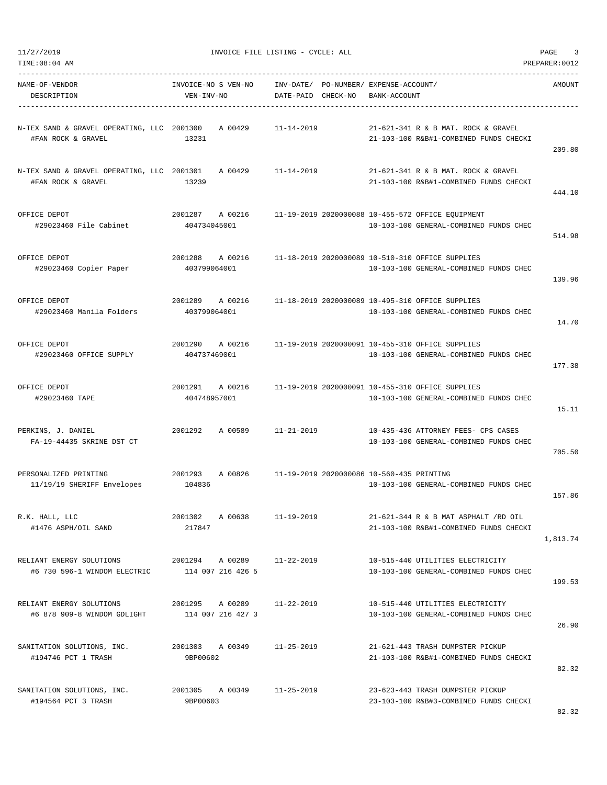|  | 11/27/2019 |
|--|------------|
|  |            |

| 11/27/2019<br>TIME:08:04 AM                                                |                                      | INVOICE FILE LISTING - CYCLE: ALL                           | PAGE<br>3<br>PREPARER: 0012                                                                 |          |  |
|----------------------------------------------------------------------------|--------------------------------------|-------------------------------------------------------------|---------------------------------------------------------------------------------------------|----------|--|
| NAME-OF-VENDOR<br>DESCRIPTION                                              | INVOICE-NO S VEN-NO<br>VEN-INV-NO    | INV-DATE/ PO-NUMBER/ EXPENSE-ACCOUNT/<br>DATE-PAID CHECK-NO | BANK-ACCOUNT                                                                                | AMOUNT   |  |
| N-TEX SAND & GRAVEL OPERATING, LLC 2001300<br>#FAN ROCK & GRAVEL           | A 00429<br>13231                     | $11 - 14 - 2019$                                            | 21-621-341 R & B MAT. ROCK & GRAVEL<br>21-103-100 R&B#1-COMBINED FUNDS CHECKI               | 209.80   |  |
| N-TEX SAND & GRAVEL OPERATING, LLC 2001301<br>#FAN ROCK & GRAVEL           | A 00429<br>13239                     | 11-14-2019                                                  | 21-621-341 R & B MAT. ROCK & GRAVEL<br>21-103-100 R&B#1-COMBINED FUNDS CHECKI               | 444.10   |  |
| OFFICE DEPOT<br>#29023460 File Cabinet                                     | 2001287<br>A 00216<br>404734045001   |                                                             | 11-19-2019 2020000088 10-455-572 OFFICE EQUIPMENT<br>10-103-100 GENERAL-COMBINED FUNDS CHEC | 514.98   |  |
| OFFICE DEPOT<br>#29023460 Copier Paper                                     | 2001288<br>A 00216<br>403799064001   |                                                             | 11-18-2019 2020000089 10-510-310 OFFICE SUPPLIES<br>10-103-100 GENERAL-COMBINED FUNDS CHEC  | 139.96   |  |
| OFFICE DEPOT<br>#29023460 Manila Folders                                   | 2001289 A 00216<br>403799064001      |                                                             | 11-18-2019 2020000089 10-495-310 OFFICE SUPPLIES<br>10-103-100 GENERAL-COMBINED FUNDS CHEC  | 14.70    |  |
| OFFICE DEPOT<br>#29023460 OFFICE SUPPLY                                    | 2001290<br>A 00216<br>404737469001   |                                                             | 11-19-2019 2020000091 10-455-310 OFFICE SUPPLIES<br>10-103-100 GENERAL-COMBINED FUNDS CHEC  | 177.38   |  |
| OFFICE DEPOT<br>#29023460 TAPE                                             | 2001291<br>A 00216<br>404748957001   |                                                             | 11-19-2019 2020000091 10-455-310 OFFICE SUPPLIES<br>10-103-100 GENERAL-COMBINED FUNDS CHEC  | 15.11    |  |
| PERKINS, J. DANIEL<br>FA-19-44435 SKRINE DST CT                            | 2001292<br>A 00589                   | 11-21-2019                                                  | 10-435-436 ATTORNEY FEES- CPS CASES<br>10-103-100 GENERAL-COMBINED FUNDS CHEC               | 705.50   |  |
| PERSONALIZED PRINTING<br>11/19/19 SHERIFF Envelopes                        | 2001293<br>A 00826<br>104836         | 11-19-2019 2020000086 10-560-435 PRINTING                   | 10-103-100 GENERAL-COMBINED FUNDS CHEC                                                      | 157.86   |  |
| R.K. HALL, LLC<br>#1476 ASPH/OIL SAND                                      | 2001302 A 00638<br>217847            | $11 - 19 - 2019$                                            | 21-621-344 R & B MAT ASPHALT /RD OIL<br>21-103-100 R&B#1-COMBINED FUNDS CHECKI              | 1,813.74 |  |
| RELIANT ENERGY SOLUTIONS<br>#6 730 596-1 WINDOM ELECTRIC 114 007 216 426 5 | 2001294 A00289                       | 11-22-2019                                                  | 10-515-440 UTILITIES ELECTRICITY<br>10-103-100 GENERAL-COMBINED FUNDS CHEC                  | 199.53   |  |
| RELIANT ENERGY SOLUTIONS<br>#6 878 909-8 WINDOM GDLIGHT                    | 2001295 A 00289<br>114 007 216 427 3 | 11-22-2019                                                  | 10-515-440 UTILITIES ELECTRICITY<br>10-103-100 GENERAL-COMBINED FUNDS CHEC                  | 26.90    |  |
| SANITATION SOLUTIONS, INC.<br>#194746 PCT 1 TRASH                          | 2001303 A 00349<br>9BP00602          | $11 - 25 - 2019$                                            | 21-621-443 TRASH DUMPSTER PICKUP<br>21-103-100 R&B#1-COMBINED FUNDS CHECKI                  | 82.32    |  |
| SANITATION SOLUTIONS, INC.<br>#194564 PCT 3 TRASH                          | 2001305 A 00349<br>9BP00603          | $11 - 25 - 2019$                                            | 23-623-443 TRASH DUMPSTER PICKUP<br>23-103-100 R&B#3-COMBINED FUNDS CHECKI                  |          |  |

82.32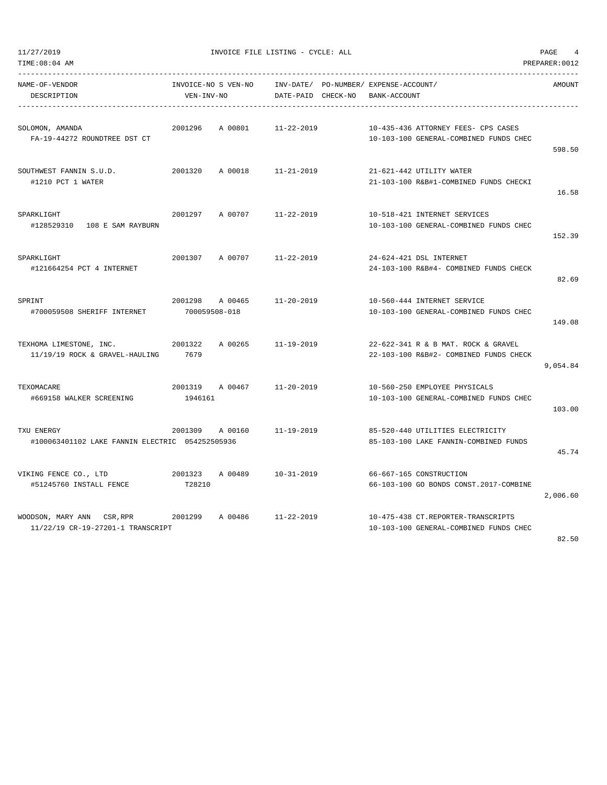|  | 11/27/2019 |  |
|--|------------|--|
|  |            |  |

11/2010 INVOICE FILE LISTING - CYCLE: ALL PAGE 4

| TIME:08:04 AM                                                      |                                   |         |                                 |                                                                               | PREPARER: 0012 |
|--------------------------------------------------------------------|-----------------------------------|---------|---------------------------------|-------------------------------------------------------------------------------|----------------|
| NAME-OF-VENDOR<br>DESCRIPTION                                      | INVOICE-NO S VEN-NO<br>VEN-INV-NO |         | INV-DATE/<br>DATE-PAID CHECK-NO | PO-NUMBER/ EXPENSE-ACCOUNT/<br>BANK-ACCOUNT                                   | AMOUNT         |
| SOLOMON, AMANDA<br>FA-19-44272 ROUNDTREE DST CT                    | 2001296                           | A 00801 | $11 - 22 - 2019$                | 10-435-436 ATTORNEY FEES- CPS CASES<br>10-103-100 GENERAL-COMBINED FUNDS CHEC | 598.50         |
| SOUTHWEST FANNIN S.U.D.<br>#1210 PCT 1 WATER                       | 2001320                           | A 00018 | $11 - 21 - 2019$                | 21-621-442 UTILITY WATER<br>21-103-100 R&B#1-COMBINED FUNDS CHECKI            | 16.58          |
| SPARKLIGHT<br>#128529310   108 E   SAM RAYBURN                     | 2001297                           | A 00707 | $11 - 22 - 2019$                | 10-518-421 INTERNET SERVICES<br>10-103-100 GENERAL-COMBINED FUNDS CHEC        | 152.39         |
| SPARKLIGHT<br>#121664254 PCT 4 INTERNET                            | 2001307                           | A 00707 | $11 - 22 - 2019$                | 24-624-421 DSL INTERNET<br>24-103-100 R&B#4- COMBINED FUNDS CHECK             | 82.69          |
| SPRINT<br>#700059508 SHERIFF INTERNET                              | 2001298<br>700059508-018          | A 00465 | $11 - 20 - 2019$                | 10-560-444 INTERNET SERVICE<br>10-103-100 GENERAL-COMBINED FUNDS CHEC         | 149.08         |
| TEXHOMA LIMESTONE, INC.<br>11/19/19 ROCK & GRAVEL-HAULING          | 2001322<br>7679                   | A 00265 | $11 - 19 - 2019$                | 22-622-341 R & B MAT. ROCK & GRAVEL<br>22-103-100 R&B#2- COMBINED FUNDS CHECK | 9,054.84       |
| TEXOMACARE<br>#669158 WALKER SCREENING                             | 2001319<br>1946161                | A 00467 | $11 - 20 - 2019$                | 10-560-250 EMPLOYEE PHYSICALS<br>10-103-100 GENERAL-COMBINED FUNDS CHEC       | 103.00         |
| TXU ENERGY<br>#100063401102 LAKE FANNIN ELECTRIC 054252505936      | 2001309                           | A 00160 | $11 - 19 - 2019$                | 85-520-440 UTILITIES ELECTRICITY<br>85-103-100 LAKE FANNIN-COMBINED FUNDS     | 45.74          |
| VIKING FENCE CO., LTD<br>#51245760 INSTALL FENCE                   | 2001323<br>T28210                 | A 00489 | $10 - 31 - 2019$                | 66-667-165 CONSTRUCTION<br>66-103-100 GO BONDS CONST.2017-COMBINE             | 2,006.60       |
| WOODSON, MARY ANN<br>CSR, RPR<br>11/22/19 CR-19-27201-1 TRANSCRIPT | 2001299                           | A 00486 | $11 - 22 - 2019$                | 10-475-438 CT.REPORTER-TRANSCRIPTS<br>10-103-100 GENERAL-COMBINED FUNDS CHEC  |                |

82.50